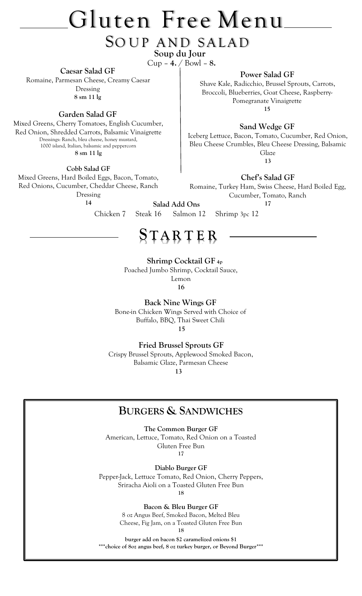# Gluten Free Menu

## SOUP AND SALAD  **Soup du Jour**

Cup – **4.** / Bowl – **8.**

**Caesar Salad GF**

Romaine, Parmesan Cheese, Creamy Caesar Dressing **8 sm 11 lg**

**Garden Salad GF**

Mixed Greens, Cherry Tomatoes, English Cucumber, Red Onion, Shredded Carrots, Balsamic Vinaigrette Dressings: Ranch, bleu cheese, honey mustard, 1000 island, Italian, balsamic and peppercorn **8 sm 11 lg**

**Cobb Salad GF**

Mixed Greens, Hard Boiled Eggs, Bacon, Tomato, Red Onions, Cucumber, Cheddar Cheese, Ranch Dressing

**14**

**Salad Add Ons**

**Power Salad GF**

Shave Kale, Radicchio, Brussel Sprouts, Carrots, Broccoli, Blueberries, Goat Cheese, Raspberry-Pomegranate Vinaigrette **15**

**Sand Wedge GF**

Iceberg Lettuce, Bacon, Tomato, Cucumber, Red Onion, Bleu Cheese Crumbles, Bleu Cheese Dressing, Balsamic Glaze **13**

**Chef's Salad GF**

Romaine, Turkey Ham, Swiss Cheese, Hard Boiled Egg, Cucumber, Tomato, Ranch **17**

Chicken 7Steak 16Salmon 12Shrimp 3pc 12

## **S T AR T E R**

 **Shrimp Cocktail GF 4p**

Poached Jumbo Shrimp, Cocktail Sauce,

Lemon

**16**

**Back Nine Wings GF** Bone-in Chicken Wings Served with Choice of Buffalo, BBQ, Thai Sweet Chili  **15**

 **Fried Brussel Sprouts GF**

Crispy Brussel Sprouts, Applewood Smoked Bacon, Balsamic Glaze, Parmesan Cheese  **13**

## **BURGERS & SANDWICHES**

**The Common Burger GF**

American, Lettuce, Tomato, Red Onion on a Toasted Gluten Free Bun **17**

**Diablo Burger GF** Pepper-Jack, Lettuce Tomato, Red Onion, Cherry Peppers, Sriracha Aioli on a Toasted Gluten Free Bun

**18**

**Bacon & Bleu Burger GF**

8 oz Angus Beef, Smoked Bacon, Melted Bleu Cheese, Fig Jam, on a Toasted Gluten Free Bun **18**

**burger add on bacon \$2 caramelized onions \$1 \*\*\*choice of 8oz angus beef, 8 oz turkey burger, or Beyond Burger\*\*\***